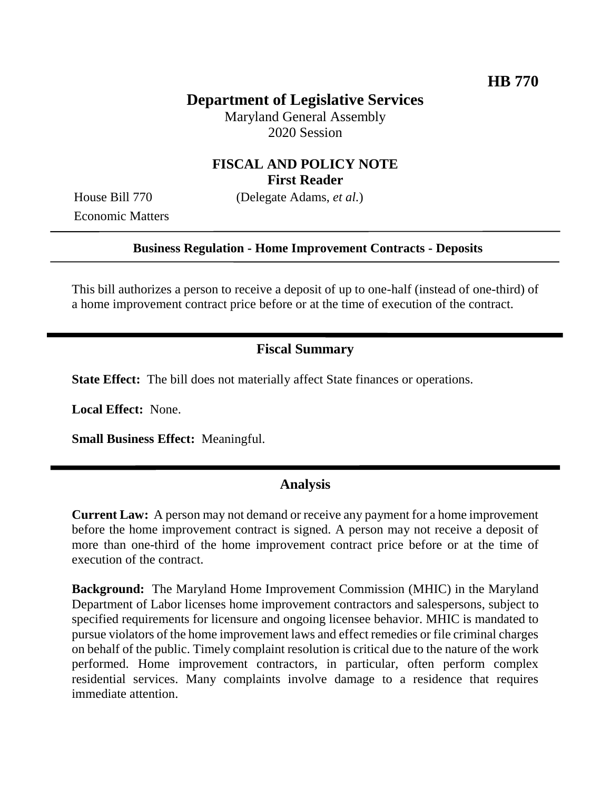# **Department of Legislative Services**

Maryland General Assembly 2020 Session

### **FISCAL AND POLICY NOTE First Reader**

Economic Matters

House Bill 770 (Delegate Adams, *et al.*)

#### **Business Regulation - Home Improvement Contracts - Deposits**

This bill authorizes a person to receive a deposit of up to one-half (instead of one-third) of a home improvement contract price before or at the time of execution of the contract.

### **Fiscal Summary**

**State Effect:** The bill does not materially affect State finances or operations.

**Local Effect:** None.

**Small Business Effect:** Meaningful.

## **Analysis**

**Current Law:** A person may not demand or receive any payment for a home improvement before the home improvement contract is signed. A person may not receive a deposit of more than one-third of the home improvement contract price before or at the time of execution of the contract.

**Background:** The Maryland Home Improvement Commission (MHIC) in the Maryland Department of Labor licenses home improvement contractors and salespersons, subject to specified requirements for licensure and ongoing licensee behavior. MHIC is mandated to pursue violators of the home improvement laws and effect remedies or file criminal charges on behalf of the public. Timely complaint resolution is critical due to the nature of the work performed. Home improvement contractors, in particular, often perform complex residential services. Many complaints involve damage to a residence that requires immediate attention.